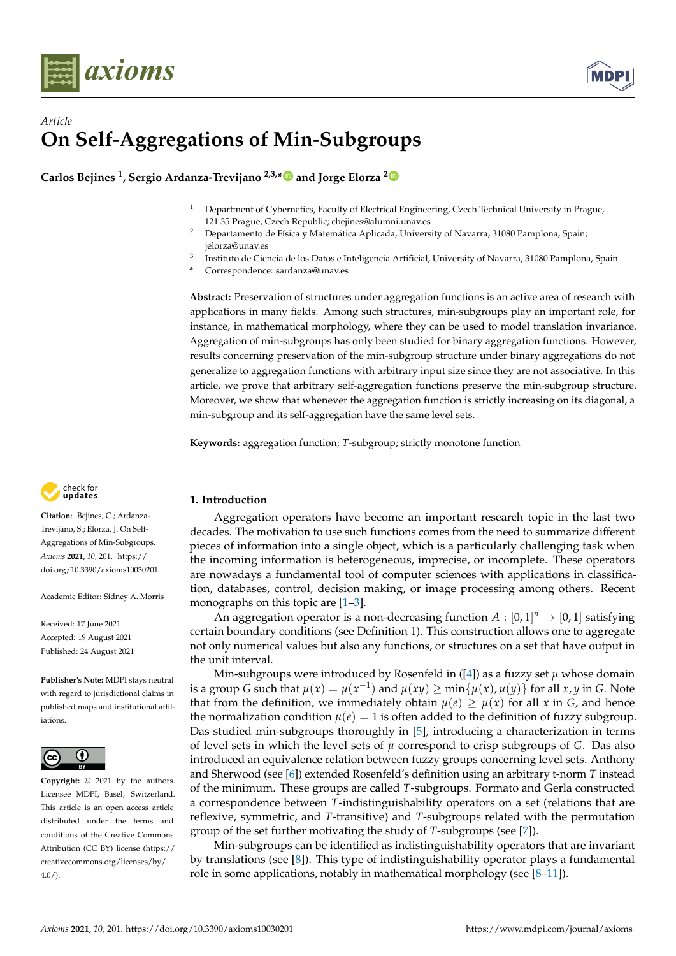



# *Article* **On Self-Aggregations of Min-Subgroups**

**Carlos Bejines <sup>1</sup> , Sergio Ardanza-Trevijano 2,3,[\\*](https://orcid.org/0000-0003-2827-5383) and Jorge Elorza [2](https://orcid.org/0000-0002-5547-1083)**

- <sup>1</sup> Department of Cybernetics, Faculty of Electrical Engineering, Czech Technical University in Prague, 121 35 Prague, Czech Republic; cbejines@alumni.unav.es
- <sup>2</sup> Departamento de Física y Matemática Aplicada, University of Navarra, 31080 Pamplona, Spain; jelorza@unav.es
- 3 Instituto de Ciencia de los Datos e Inteligencia Artificial, University of Navarra, 31080 Pamplona, Spain
- **\*** Correspondence: sardanza@unav.es

**Abstract:** Preservation of structures under aggregation functions is an active area of research with applications in many fields. Among such structures, min-subgroups play an important role, for instance, in mathematical morphology, where they can be used to model translation invariance. Aggregation of min-subgroups has only been studied for binary aggregation functions. However, results concerning preservation of the min-subgroup structure under binary aggregations do not generalize to aggregation functions with arbitrary input size since they are not associative. In this article, we prove that arbitrary self-aggregation functions preserve the min-subgroup structure. Moreover, we show that whenever the aggregation function is strictly increasing on its diagonal, a min-subgroup and its self-aggregation have the same level sets.

**Keywords:** aggregation function; *T*-subgroup; strictly monotone function



**Citation:** Bejines, C.; Ardanza-Trevijano, S.; Elorza, J. On Self-Aggregations of Min-Subgroups. *Axioms* **2021**, *10*, 201. [https://](https://doi.org/10.3390/axioms10030201) [doi.org/10.3390/axioms10030201](https://doi.org/10.3390/axioms10030201)

Academic Editor: Sidney A. Morris

Received: 17 June 2021 Accepted: 19 August 2021 Published: 24 August 2021

**Publisher's Note:** MDPI stays neutral with regard to jurisdictional claims in published maps and institutional affiliations.



**Copyright:** © 2021 by the authors. Licensee MDPI, Basel, Switzerland. This article is an open access article distributed under the terms and conditions of the Creative Commons Attribution (CC BY) license (https:/[/](https://creativecommons.org/licenses/by/4.0/) [creativecommons.org/licenses/by/](https://creativecommons.org/licenses/by/4.0/)  $4.0/$ ).

# **1. Introduction**

Aggregation operators have become an important research topic in the last two decades. The motivation to use such functions comes from the need to summarize different pieces of information into a single object, which is a particularly challenging task when the incoming information is heterogeneous, imprecise, or incomplete. These operators are nowadays a fundamental tool of computer sciences with applications in classification, databases, control, decision making, or image processing among others. Recent monographs on this topic are  $[1-3]$  $[1-3]$ .

An aggregation operator is a non-decreasing function  $A : [0,1]^n \rightarrow [0,1]$  satisfying certain boundary conditions (see Definition 1). This construction allows one to aggregate not only numerical values but also any functions, or structures on a set that have output in the unit interval.

Min-subgroups were introduced by Rosenfeld in  $([4])$  $([4])$  $([4])$  as a fuzzy set  $\mu$  whose domain is a group *G* such that  $\mu(x) = \mu(x^{-1})$  and  $\mu(xy) \ge \min\{\mu(x), \mu(y)\}$  for all *x*, *y* in *G*. Note that from the definition, we immediately obtain  $\mu(e) \geq \mu(x)$  for all *x* in *G*, and hence the normalization condition  $\mu(e) = 1$  is often added to the definition of fuzzy subgroup. Das studied min-subgroups thoroughly in [\[5\]](#page-6-3), introducing a characterization in terms of level sets in which the level sets of  $\mu$  correspond to crisp subgroups of *G*. Das also introduced an equivalence relation between fuzzy groups concerning level sets. Anthony and Sherwood (see [\[6\]](#page-6-4)) extended Rosenfeld's definition using an arbitrary t-norm *T* instead of the minimum. These groups are called *T*-subgroups. Formato and Gerla constructed a correspondence between *T*-indistinguishability operators on a set (relations that are reflexive, symmetric, and *T*-transitive) and *T*-subgroups related with the permutation group of the set further motivating the study of *T*-subgroups (see [\[7\]](#page-6-5)).

Min-subgroups can be identified as indistinguishability operators that are invariant by translations (see [\[8\]](#page-6-6)). This type of indistinguishability operator plays a fundamental role in some applications, notably in mathematical morphology (see  $[8-11]$  $[8-11]$ ).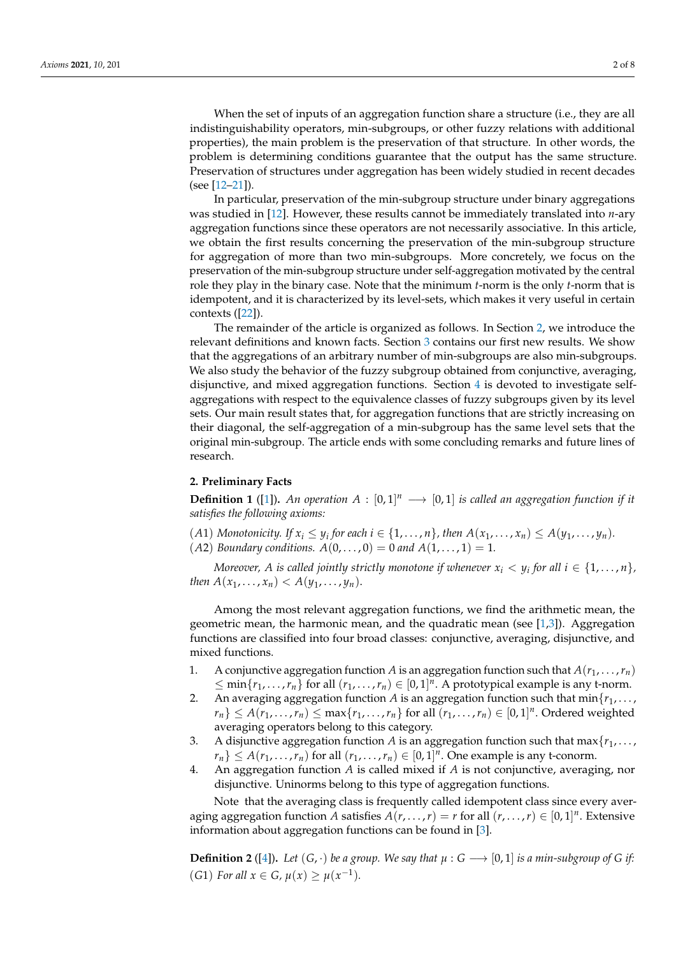In particular, preservation of the min-subgroup structure under binary aggregations was studied in [\[12\]](#page-6-8). However, these results cannot be immediately translated into *n*-ary aggregation functions since these operators are not necessarily associative. In this article, we obtain the first results concerning the preservation of the min-subgroup structure for aggregation of more than two min-subgroups. More concretely, we focus on the preservation of the min-subgroup structure under self-aggregation motivated by the central role they play in the binary case. Note that the minimum *t*-norm is the only *t*-norm that is idempotent, and it is characterized by its level-sets, which makes it very useful in certain contexts ([\[22\]](#page-7-1)).

The remainder of the article is organized as follows. In Section [2,](#page-1-0) we introduce the relevant definitions and known facts. Section [3](#page-2-0) contains our first new results. We show that the aggregations of an arbitrary number of min-subgroups are also min-subgroups. We also study the behavior of the fuzzy subgroup obtained from conjunctive, averaging, disjunctive, and mixed aggregation functions. Section [4](#page-4-0) is devoted to investigate selfaggregations with respect to the equivalence classes of fuzzy subgroups given by its level sets. Our main result states that, for aggregation functions that are strictly increasing on their diagonal, the self-aggregation of a min-subgroup has the same level sets that the original min-subgroup. The article ends with some concluding remarks and future lines of research.

## <span id="page-1-0"></span>**2. Preliminary Facts**

**Definition 1** ([\[1\]](#page-6-0)). An operation  $A : [0,1]^n \longrightarrow [0,1]$  is called an aggregation function if it *satisfies the following axioms:*

- $(A1)$  *Monotonicity. If*  $x_i \leq y_i$  *for each i*  $\in \{1, \ldots, n\}$ *, then*  $A(x_1, \ldots, x_n) \leq A(y_1, \ldots, y_n)$ *.*
- *(A2) Boundary conditions.*  $A(0, \ldots, 0) = 0$  *and*  $A(1, \ldots, 1) = 1$ *.*

*Moreover, A is called jointly strictly monotone if whenever*  $x_i < y_i$  *for all*  $i \in \{1, \ldots, n\}$ *, then*  $A(x_1, ..., x_n) < A(y_1, ..., y_n)$ .

Among the most relevant aggregation functions, we find the arithmetic mean, the geometric mean, the harmonic mean, and the quadratic mean (see  $[1,3]$  $[1,3]$ ). Aggregation functions are classified into four broad classes: conjunctive, averaging, disjunctive, and mixed functions.

- 1. A conjunctive aggregation function *A* is an aggregation function such that  $A(r_1, \ldots, r_n)$  $\leq$  min $\{r_1, \ldots, r_n\}$  for all  $(r_1, \ldots, r_n) \in [0, 1]^n$ . A prototypical example is any t-norm.
- 2. An averaging aggregation function *A* is an aggregation function such that  $min{r_1, \ldots, r_k}$  $r_n$ }  $\leq A(r_1, \ldots, r_n) \leq \max\{r_1, \ldots, r_n\}$  for all  $(r_1, \ldots, r_n) \in [0, 1]^n$ . Ordered weighted averaging operators belong to this category.
- 3. A disjunctive aggregation function *A* is an aggregation function such that  $\max\{r_1, \ldots, r_m\}$  $r_n$ }  $\leq A(r_1, \ldots, r_n)$  for all  $(r_1, \ldots, r_n) \in [0, 1]^n$ . One example is any t-conorm.
- 4. An aggregation function *A* is called mixed if *A* is not conjunctive, averaging, nor disjunctive. Uninorms belong to this type of aggregation functions.

Note that the averaging class is frequently called idempotent class since every averaging aggregation function *A* satisfies  $A(r, \ldots, r) = r$  for all  $(r, \ldots, r) \in [0, 1]^n$ . Extensive information about aggregation functions can be found in [\[3\]](#page-6-1).

**Definition 2** ([\[4\]](#page-6-2)). Let  $(G, \cdot)$  be a group. We say that  $\mu : G \longrightarrow [0, 1]$  is a min-subgroup of G if: (*G*1) *For all*  $x \in G$ ,  $\mu(x) \geq \mu(x^{-1})$ *.*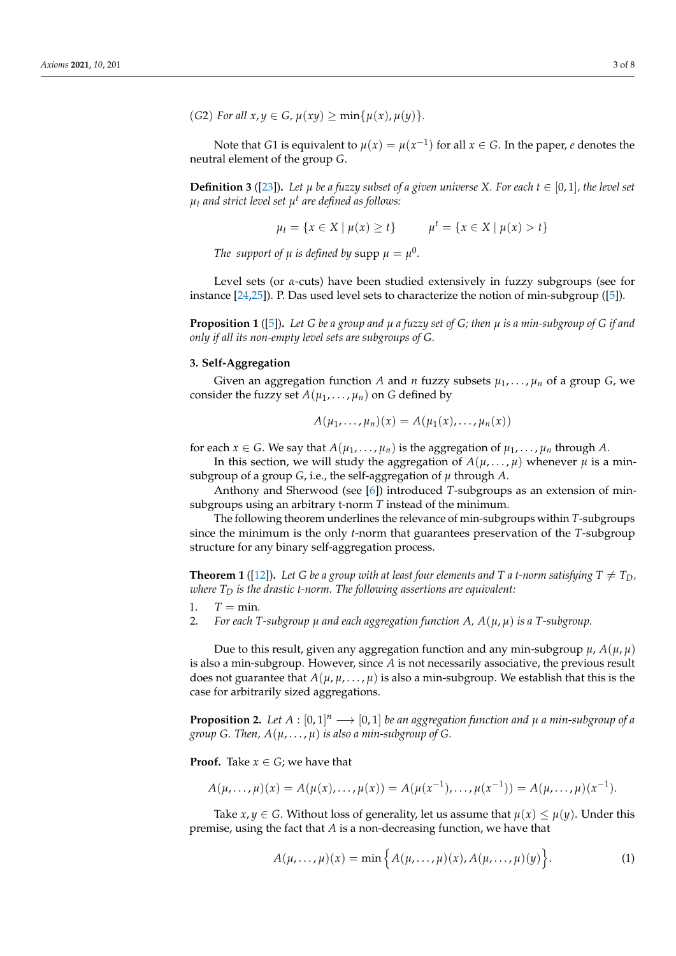$(G2)$  *For all*  $x, y \in G$ *,*  $\mu(xy) \ge \min{\{\mu(x), \mu(y)\}}$ .

Note that *G*1 is equivalent to  $\mu(x) = \mu(x^{-1})$  for all  $x \in G$ . In the paper,  $e$  denotes the neutral element of the group *G*.

**Definition 3** ([\[23\]](#page-7-2)). Let  $\mu$  be a fuzzy subset of a given universe X. For each  $t \in [0,1]$ , the level set *µ<sup>t</sup> and strict level set µ t are defined as follows:*

$$
\mu_t = \{ x \in X \mid \mu(x) \ge t \} \qquad \mu^t = \{ x \in X \mid \mu(x) > t \}
$$

*The support of*  $\mu$  *is defined by* supp  $\mu = \mu^0$ .

Level sets (or *α*-cuts) have been studied extensively in fuzzy subgroups (see for instance [\[24,](#page-7-3)[25\]](#page-7-4)). P. Das used level sets to characterize the notion of min-subgroup ([\[5\]](#page-6-3)).

<span id="page-2-2"></span>**Proposition 1** ([\[5\]](#page-6-3))**.** *Let G be a group and µ a fuzzy set of G; then µ is a min-subgroup of G if and only if all its non-empty level sets are subgroups of G.*

#### <span id="page-2-0"></span>**3. Self-Aggregation**

Given an aggregation function A and *n* fuzzy subsets  $\mu_1, \ldots, \mu_n$  of a group *G*, we consider the fuzzy set  $A(\mu_1, \ldots, \mu_n)$  on *G* defined by

$$
A(\mu_1,\ldots,\mu_n)(x)=A(\mu_1(x),\ldots,\mu_n(x))
$$

for each  $x \in G$ . We say that  $A(\mu_1, \dots, \mu_n)$  is the aggregation of  $\mu_1, \dots, \mu_n$  through A.

In this section, we will study the aggregation of  $A(\mu, \dots, \mu)$  whenever  $\mu$  is a minsubgroup of a group *G*, i.e., the self-aggregation of  $\mu$  through *A*.

Anthony and Sherwood (see [\[6\]](#page-6-4)) introduced *T*-subgroups as an extension of minsubgroups using an arbitrary t-norm *T* instead of the minimum.

The following theorem underlines the relevance of min-subgroups within *T*-subgroups since the minimum is the only *t*-norm that guarantees preservation of the *T*-subgroup structure for any binary self-aggregation process.

**Theorem 1** ([\[12\]](#page-6-8)). Let G be a group with at least four elements and T a t-norm satisfying  $T \neq T_D$ , *where T<sup>D</sup> is the drastic t-norm. The following assertions are equivalent:*

- 1.  $T = min$ .
- 2. *For each T-subgroup µ and each aggregation function A, A*(*µ*, *µ*) *is a T-subgroup.*

Due to this result, given any aggregation function and any min-subgroup  $\mu$ ,  $A(\mu, \mu)$ is also a min-subgroup. However, since *A* is not necessarily associative, the previous result does not guarantee that  $A(\mu, \mu, \dots, \mu)$  is also a min-subgroup. We establish that this is the case for arbitrarily sized aggregations.

**Proposition 2.** Let  $A : [0,1]^n \longrightarrow [0,1]$  be an aggregation function and  $\mu$  a min-subgroup of a *group G. Then,*  $A(\mu, \ldots, \mu)$  *is also a min-subgroup of G.* 

**Proof.** Take  $x \in G$ ; we have that

$$
A(\mu,\ldots,\mu)(x) = A(\mu(x),\ldots,\mu(x)) = A(\mu(x^{-1}),\ldots,\mu(x^{-1})) = A(\mu,\ldots,\mu)(x^{-1}).
$$

Take *x*, *y*  $\in$  *G*. Without loss of generality, let us assume that  $\mu(x) \leq \mu(y)$ . Under this premise, using the fact that *A* is a non-decreasing function, we have that

<span id="page-2-1"></span>
$$
A(\mu,\ldots,\mu)(x) = \min\Big\{A(\mu,\ldots,\mu)(x), A(\mu,\ldots,\mu)(y)\Big\}.
$$
 (1)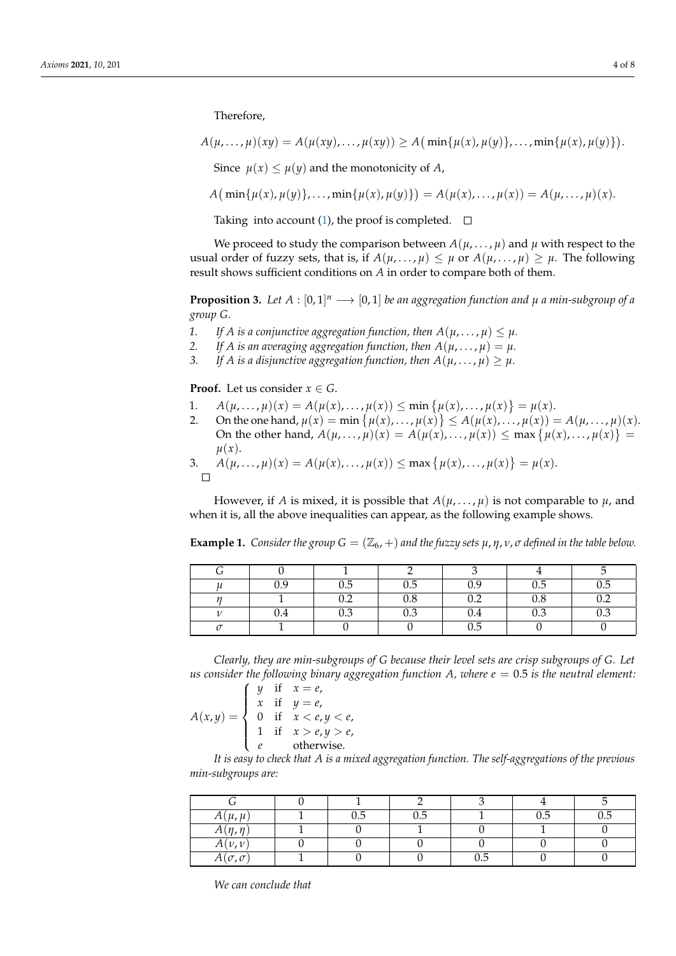Therefore,

 $A(\mu, \ldots, \mu)(xy) = A(\mu(xy), \ldots, \mu(xy)) \ge A(\min\{\mu(x), \mu(y)\}, \ldots, \min\{\mu(x), \mu(y)\}).$ Since  $\mu(x) \leq \mu(y)$  and the monotonicity of *A*,

 $A\big(\min\{\mu(x), \mu(y)\}, \ldots, \min\{\mu(x), \mu(y)\}\big) = A(\mu(x), \ldots, \mu(x)) = A(\mu, \ldots, \mu)(x).$ 

Taking into account [\(1\)](#page-2-1), the proof is completed.  $\square$ 

We proceed to study the comparison between  $A(\mu, \dots, \mu)$  and  $\mu$  with respect to the usual order of fuzzy sets, that is, if  $A(\mu, \dots, \mu) \leq \mu$  or  $A(\mu, \dots, \mu) \geq \mu$ . The following result shows sufficient conditions on *A* in order to compare both of them.

<span id="page-3-1"></span>**Proposition 3.** Let  $A : [0,1]^n \longrightarrow [0,1]$  be an aggregation function and  $\mu$  a min-subgroup of a *group G.*

- 1. If A is a conjunctive aggregation function, then  $A(u, \ldots, u) \leq u$ .
- 2. If A is an averaging aggregation function, then  $A(\mu, \dots, \mu) = \mu$ .
- *3.* If A is a disjunctive aggregation function, then  $A(\mu, \dots, \mu) \geq \mu$ .

**Proof.** Let us consider  $x \in G$ .

- 1.  $A(\mu, ..., \mu)(x) = A(\mu(x), ..., \mu(x)) \le \min \{ \mu(x), ..., \mu(x) \} = \mu(x).$
- 2. On the one hand,  $\mu(x) = \min \{ \mu(x), \ldots, \mu(x) \} \le A(\mu(x), \ldots, \mu(x)) = A(\mu, \ldots, \mu)(x)$ . On the other hand,  $A(\mu, ..., \mu)(x) = A(\mu(x), ..., \mu(x)) \le \max{\{\mu(x), ..., \mu(x)\}}$  $\mu(x)$ .

3.  $A(\mu, ..., \mu)(x) = A(\mu(x), ..., \mu(x)) \le \max{\{\mu(x), ..., \mu(x)\}} = \mu(x).$  $\Box$ 

However, if *A* is mixed, it is possible that  $A(\mu, \dots, \mu)$  is not comparable to  $\mu$ , and when it is, all the above inequalities can appear, as the following example shows.

| 0.9       | 0.5        | 0.5 | $_{0.9}$ | 0.5 | 0.5 |
|-----------|------------|-----|----------|-----|-----|
|           | ∩ າ<br>∪.∠ | 0.8 | 0.2      | 0.8 | 0.2 |
| $\rm 0.4$ | 0.3        | 0.3 | 0.4      | 0.3 | 0.3 |
|           |            |     | 0.5      |     |     |

<span id="page-3-0"></span>**Example 1.** *Consider the group*  $G = (\mathbb{Z}_6, +)$  *and the fuzzy sets*  $\mu, \eta, \nu, \sigma$  *defined in the table below.* 

*Clearly, they are min-subgroups of G because their level sets are crisp subgroups of G. Let us consider the following binary aggregation function A, where*  $e = 0.5$  *is the neutral element:* 

$$
A(x,y) = \begin{cases} y & \text{if } x = e, \\ x & \text{if } y = e, \\ 0 & \text{if } x < e, y < e, \\ 1 & \text{if } x > e, y > e, \\ e & \text{otherwise.} \end{cases}
$$

*It is easy to check that A is a mixed aggregation function. The self-aggregations of the previous min-subgroups are:*

| $A(\mu,\mu)$        | $_{0.5}$ | 0.5 |     | 0.5 | 0.5 |
|---------------------|----------|-----|-----|-----|-----|
| $A(\eta,\eta)$      |          |     |     |     |     |
| $A(\nu,\nu)$        |          |     |     |     |     |
| $A(\sigma, \sigma)$ |          |     | 0.5 |     |     |

*We can conclude that*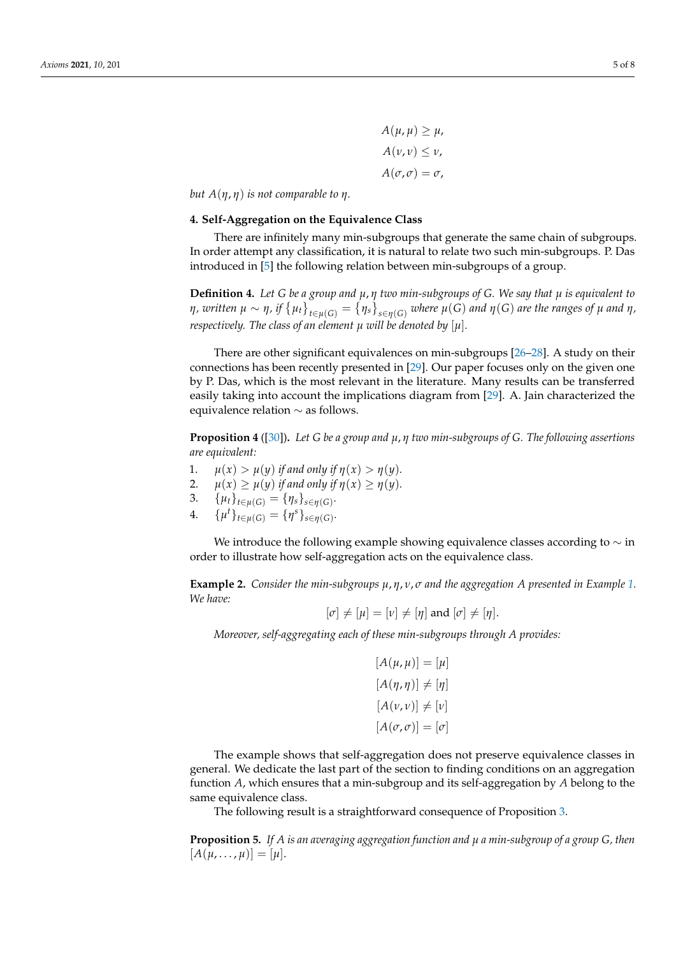$A(u, u) \geq u$ ,  $A(\nu, \nu) \leq \nu$ ,  $A(\sigma, \sigma) = \sigma$ ,

*but*  $A(η, η)$  *is not comparable to*  $η$ *.* 

## <span id="page-4-0"></span>**4. Self-Aggregation on the Equivalence Class**

There are infinitely many min-subgroups that generate the same chain of subgroups. In order attempt any classification, it is natural to relate two such min-subgroups. P. Das introduced in [\[5\]](#page-6-3) the following relation between min-subgroups of a group.

**Definition 4.** *Let G be a group and µ*, *η two min-subgroups of G. We say that µ is equivalent to*  $\eta$  , written  $\mu \sim \eta$  , if  $\big\{\mu_t\big\}_{t\in\mu(G)}=\big\{\eta_s\big\}_{s\in\eta(G)}$  where  $\mu(G)$  and  $\eta(G)$  are the ranges of  $\mu$  and  $\eta$  , *respectively. The class of an element*  $\mu$  *will be denoted by*  $[\mu]$ *.* 

There are other significant equivalences on min-subgroups [\[26](#page-7-5)[–28\]](#page-7-6). A study on their connections has been recently presented in [\[29\]](#page-7-7). Our paper focuses only on the given one by P. Das, which is the most relevant in the literature. Many results can be transferred easily taking into account the implications diagram from [\[29\]](#page-7-7). A. Jain characterized the equivalence relation ∼ as follows.

<span id="page-4-1"></span>**Proposition 4** ([\[30\]](#page-7-8))**.** *Let G be a group and µ*, *η two min-subgroups of G. The following assertions are equivalent:*

- 1.  $\mu(x) > \mu(y)$  *if and only if*  $\eta(x) > \eta(y)$ .
- 2.  $\mu(x) \geq \mu(y)$  *if and only if*  $\eta(x) \geq \eta(y)$ *.*
- 3. { $\mu_t$ }<sub>*t*∈ $\mu(G)$ </sub> = { $\eta_s$ }<sub>*s*∈ $\eta(G)$ </sub>.
- 4.  $\{\mu^t\}_{t \in \mu(G)} = \{\eta^s\}_{s \in \eta(G)}$ .

We introduce the following example showing equivalence classes according to  $\sim$  in order to illustrate how self-aggregation acts on the equivalence class.

**Example 2.** *Consider the min-subgroups µ*, *η*, *ν*, *σ and the aggregation A presented in Example [1.](#page-3-0) We have:*

$$
[\sigma] \neq [\mu] = [\nu] \neq [\eta] \text{ and } [\sigma] \neq [\eta].
$$

*Moreover, self-aggregating each of these min-subgroups through A provides:*

$$
[A(\mu, \mu)] = [\mu]
$$

$$
[A(\eta, \eta)] \neq [\eta]
$$

$$
[A(\nu, \nu)] \neq [\nu]
$$

$$
[A(\sigma, \sigma)] = [\sigma]
$$

The example shows that self-aggregation does not preserve equivalence classes in general. We dedicate the last part of the section to finding conditions on an aggregation function *A*, which ensures that a min-subgroup and its self-aggregation by *A* belong to the same equivalence class.

The following result is a straightforward consequence of Proposition [3.](#page-3-1)

**Proposition 5.** *If A is an averaging aggregation function and µ a min-subgroup of a group G, then*  $[A(\mu, \ldots, \mu)] = [\mu].$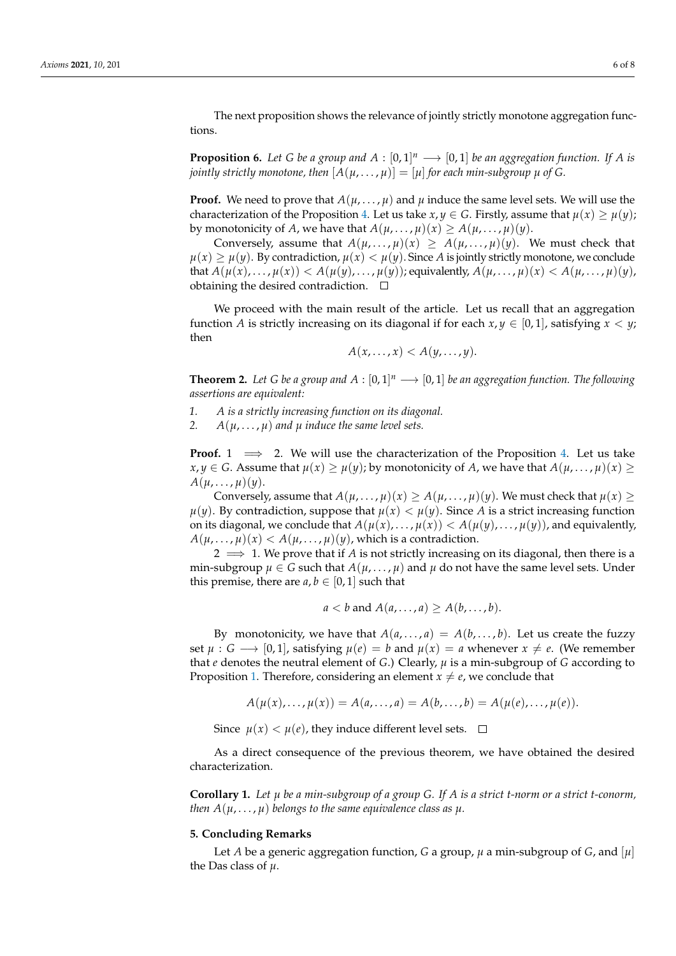The next proposition shows the relevance of jointly strictly monotone aggregation functions.

**Proposition 6.** Let G be a group and  $A : [0,1]^n \longrightarrow [0,1]$  be an aggregation function. If A is *jointly strictly monotone, then*  $[A(\mu, \ldots, \mu)] = [\mu]$  *for each min-subgroup*  $\mu$  *of G.* 

**Proof.** We need to prove that  $A(\mu, \ldots, \mu)$  and  $\mu$  induce the same level sets. We will use the characterization of the Proposition [4.](#page-4-1) Let us take  $x, y \in G$ . Firstly, assume that  $\mu(x) \geq \mu(y)$ ; by monotonicity of *A*, we have that  $A(\mu, \dots, \mu)(x) \ge A(\mu, \dots, \mu)(y)$ .

Conversely, assume that  $A(\mu, \dots, \mu)(x) \geq A(\mu, \dots, \mu)(y)$ . We must check that  $\mu(x) \geq \mu(y)$ . By contradiction,  $\mu(x) < \mu(y)$ . Since *A* is jointly strictly monotone, we conclude that  $A(\mu(x), \ldots, \mu(x)) < A(\mu(y), \ldots, \mu(y))$ ; equivalently,  $A(\mu, \ldots, \mu)(x) < A(\mu, \ldots, \mu)(y)$ , obtaining the desired contradiction.  $\square$ 

We proceed with the main result of the article. Let us recall that an aggregation function *A* is strictly increasing on its diagonal if for each  $x, y \in [0, 1]$ , satisfying  $x < y$ ; then

$$
A(x,\ldots,x)
$$

**Theorem 2.** Let G be a group and  $A : [0,1]^n \longrightarrow [0,1]$  be an aggregation function. The following *assertions are equivalent:*

- *1. A is a strictly increasing function on its diagonal.*
- 2.  $A(\mu, \ldots, \mu)$  *and*  $\mu$  *induce the same level sets.*

**Proof.** 1  $\implies$  2. We will use the characterization of the Proposition [4.](#page-4-1) Let us take *x*, *y* ∈ *G*. Assume that  $\mu(x) \geq \mu(y)$ ; by monotonicity of *A*, we have that  $A(\mu, \ldots, \mu)(x)$  $A(\mu, \ldots, \mu)(\nu).$ 

Conversely, assume that  $A(\mu, \dots, \mu)(x) \ge A(\mu, \dots, \mu)(y)$ . We must check that  $\mu(x) \ge$  $\mu(y)$ . By contradiction, suppose that  $\mu(x) < \mu(y)$ . Since *A* is a strict increasing function on its diagonal, we conclude that  $A(\mu(x), \ldots, \mu(x)) < A(\mu(y), \ldots, \mu(y))$ , and equivalently,  $A(\mu, \ldots, \mu)(x) < A(\mu, \ldots, \mu)(y)$ , which is a contradiction.

2  $\implies$  1. We prove that if A is not strictly increasing on its diagonal, then there is a min-subgroup  $\mu \in G$  such that  $A(\mu, \ldots, \mu)$  and  $\mu$  do not have the same level sets. Under this premise, there are  $a, b \in [0, 1]$  such that

$$
a < b \text{ and } A(a, \ldots, a) \geq A(b, \ldots, b).
$$

By monotonicity, we have that  $A(a, \ldots, a) = A(b, \ldots, b)$ . Let us create the fuzzy set  $\mu$  :  $G \longrightarrow [0, 1]$ , satisfying  $\mu(e) = b$  and  $\mu(x) = a$  whenever  $x \neq e$ . (We remember that *e* denotes the neutral element of *G*.) Clearly, *µ* is a min-subgroup of *G* according to Proposition [1.](#page-2-2) Therefore, considering an element  $x \neq e$ , we conclude that

$$
A(\mu(x), ..., \mu(x)) = A(a, ..., a) = A(b, ..., b) = A(\mu(e), ..., \mu(e)).
$$

Since  $\mu(x) < \mu(e)$ , they induce different level sets.  $\Box$ 

As a direct consequence of the previous theorem, we have obtained the desired characterization.

**Corollary 1.** *Let µ be a min-subgroup of a group G. If A is a strict t-norm or a strict t-conorm, then*  $A(\mu, \ldots, \mu)$  *belongs to the same equivalence class as*  $\mu$ *.* 

#### **5. Concluding Remarks**

Let *A* be a generic aggregation function, *G* a group,  $\mu$  a min-subgroup of *G*, and  $[\mu]$ the Das class of *µ*.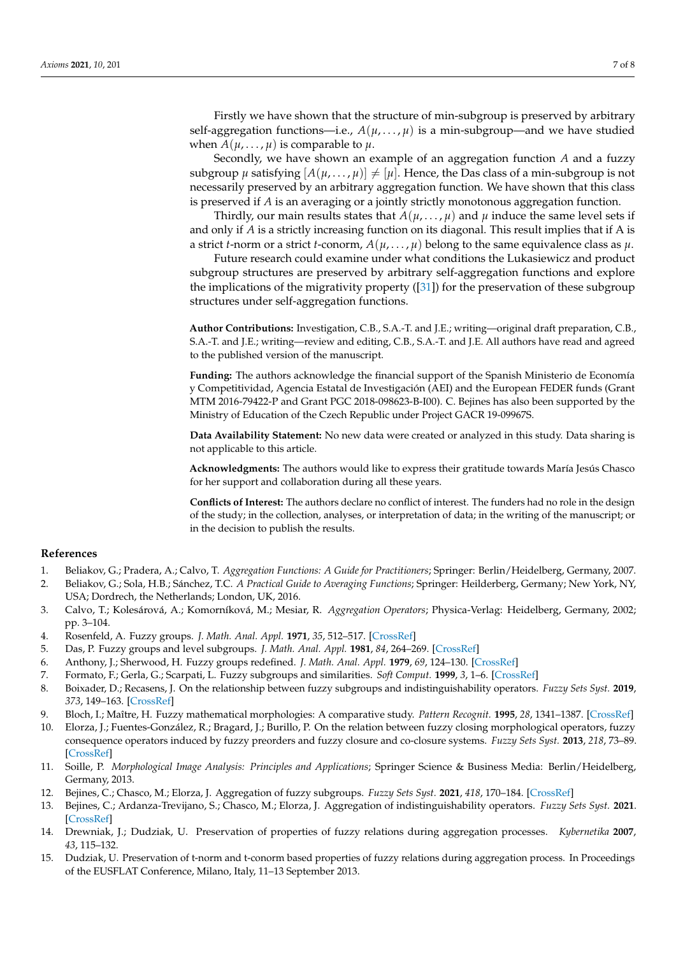Firstly we have shown that the structure of min-subgroup is preserved by arbitrary self-aggregation functions—i.e.,  $A(\mu, \dots, \mu)$  is a min-subgroup—and we have studied when  $A(\mu, \ldots, \mu)$  is comparable to  $\mu$ .

Secondly, we have shown an example of an aggregation function *A* and a fuzzy subgroup  $\mu$  satisfying  $[A(\mu, \ldots, \mu)] \neq [\mu]$ . Hence, the Das class of a min-subgroup is not necessarily preserved by an arbitrary aggregation function. We have shown that this class is preserved if *A* is an averaging or a jointly strictly monotonous aggregation function.

Thirdly, our main results states that  $A(\mu, \dots, \mu)$  and  $\mu$  induce the same level sets if and only if *A* is a strictly increasing function on its diagonal. This result implies that if A is a strict *t*-norm or a strict *t*-conorm,  $A(\mu, \ldots, \mu)$  belong to the same equivalence class as  $\mu$ .

Future research could examine under what conditions the Lukasiewicz and product subgroup structures are preserved by arbitrary self-aggregation functions and explore the implications of the migrativity property ([\[31\]](#page-7-9)) for the preservation of these subgroup structures under self-aggregation functions.

**Author Contributions:** Investigation, C.B., S.A.-T. and J.E.; writing—original draft preparation, C.B., S.A.-T. and J.E.; writing—review and editing, C.B., S.A.-T. and J.E. All authors have read and agreed to the published version of the manuscript.

**Funding:** The authors acknowledge the financial support of the Spanish Ministerio de Economía y Competitividad, Agencia Estatal de Investigación (AEI) and the European FEDER funds (Grant MTM 2016-79422-P and Grant PGC 2018-098623-B-I00). C. Bejines has also been supported by the Ministry of Education of the Czech Republic under Project GACR 19-09967S.

**Data Availability Statement:** No new data were created or analyzed in this study. Data sharing is not applicable to this article.

**Acknowledgments:** The authors would like to express their gratitude towards María Jesús Chasco for her support and collaboration during all these years.

**Conflicts of Interest:** The authors declare no conflict of interest. The funders had no role in the design of the study; in the collection, analyses, or interpretation of data; in the writing of the manuscript; or in the decision to publish the results.

## **References**

- <span id="page-6-0"></span>1. Beliakov, G.; Pradera, A.; Calvo, T. *Aggregation Functions: A Guide for Practitioners*; Springer: Berlin/Heidelberg, Germany, 2007.
- 2. Beliakov, G.; Sola, H.B.; Sánchez, T.C. *A Practical Guide to Averaging Functions*; Springer: Heilderberg, Germany; New York, NY, USA; Dordrech, the Netherlands; London, UK, 2016.
- <span id="page-6-1"></span>3. Calvo, T.; Kolesárová, A.; Komorníková, M.; Mesiar, R. *Aggregation Operators*; Physica-Verlag: Heidelberg, Germany, 2002; pp. 3–104.
- <span id="page-6-2"></span>4. Rosenfeld, A. Fuzzy groups. *J. Math. Anal. Appl.* **1971**, *35*, 512–517. [\[CrossRef\]](http://doi.org/10.1016/0022-247X(71)90199-5)
- <span id="page-6-3"></span>5. Das, P. Fuzzy groups and level subgroups. *J. Math. Anal. Appl.* **1981**, *84*, 264–269. [\[CrossRef\]](http://dx.doi.org/10.1016/0022-247X(81)90164-5)
- <span id="page-6-4"></span>6. Anthony, J.; Sherwood, H. Fuzzy groups redefined. *J. Math. Anal. Appl.* **1979**, *69*, 124–130. [\[CrossRef\]](http://dx.doi.org/10.1016/0022-247X(79)90182-3)
- <span id="page-6-5"></span>7. Formato, F.; Gerla, G.; Scarpati, L. Fuzzy subgroups and similarities. *Soft Comput.* **1999**, *3*, 1–6. [\[CrossRef\]](http://dx.doi.org/10.1007/s005000050085)
- <span id="page-6-6"></span>8. Boixader, D.; Recasens, J. On the relationship between fuzzy subgroups and indistinguishability operators. *Fuzzy Sets Syst.* **2019**, *373*, 149–163. [\[CrossRef\]](http://dx.doi.org/10.1016/j.fss.2018.09.002)
- 9. Bloch, I.; Maître, H. Fuzzy mathematical morphologies: A comparative study. *Pattern Recognit.* **1995**, *28*, 1341–1387. [\[CrossRef\]](http://dx.doi.org/10.1016/0031-3203(94)00312-A)
- 10. Elorza, J.; Fuentes-González, R.; Bragard, J.; Burillo, P. On the relation between fuzzy closing morphological operators, fuzzy consequence operators induced by fuzzy preorders and fuzzy closure and co-closure systems. *Fuzzy Sets Syst.* **2013**, *218*, 73–89. [\[CrossRef\]](http://dx.doi.org/10.1016/j.fss.2012.08.010)
- <span id="page-6-7"></span>11. Soille, P. *Morphological Image Analysis: Principles and Applications*; Springer Science & Business Media: Berlin/Heidelberg, Germany, 2013.
- <span id="page-6-8"></span>12. Bejines, C.; Chasco, M.; Elorza, J. Aggregation of fuzzy subgroups. *Fuzzy Sets Syst.* **2021**, *418*, 170–184. [\[CrossRef\]](http://dx.doi.org/10.1016/j.fss.2020.05.017)
- 13. Bejines, C.; Ardanza-Trevijano, S.; Chasco, M.; Elorza, J. Aggregation of indistinguishability operators. *Fuzzy Sets Syst.* **2021**. [\[CrossRef\]](http://dx.doi.org/10.1016/j.fss.2021.04.023)
- 14. Drewniak, J.; Dudziak, U. Preservation of properties of fuzzy relations during aggregation processes. *Kybernetika* **2007**, *43*, 115–132.
- 15. Dudziak, U. Preservation of t-norm and t-conorm based properties of fuzzy relations during aggregation process. In Proceedings of the EUSFLAT Conference, Milano, Italy, 11–13 September 2013.